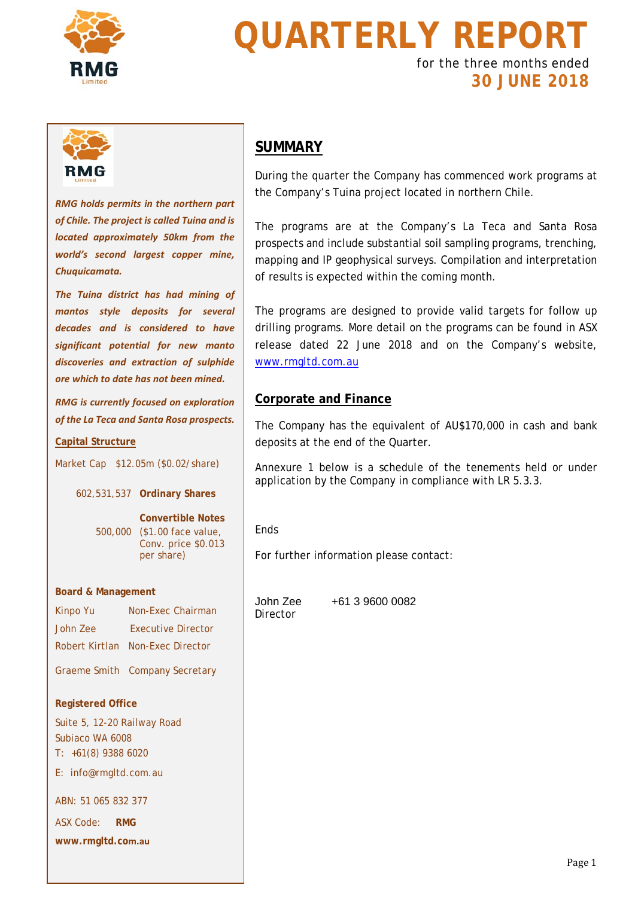

# **QUARTERLY REPORT**

for the three months ended **30 JUNE 2018**



*RMG holds permits in the northern part of Chile. The project is called Tuina and is located approximately 50km from the world's second largest copper mine, Chuquicamata.* 

*The Tuina district has had mining of mantos style deposits for several decades and is considered to have significant potential for new manto discoveries and extraction of sulphide ore which to date has not been mined.* 

*RMG is currently focused on exploration of the La Teca and Santa Rosa prospects.*

### **Capital Structure**

Market Cap \$12.05m (\$0.02/share)

602,531,537 **Ordinary Shares**

**Convertible Notes** 500,000 (\$1.00 face value, Conv. price \$0.013 per share)

#### **Board & Management**

| Kinpo Yu       | Non-Exec Chairman              |
|----------------|--------------------------------|
| John Zee       | <b>Executive Director</b>      |
| Robert Kirtlan | Non-Exec Director              |
|                | Graeme Smith Company Secretary |

### **Registered Office**

Suite 5, 12-20 Railway Road Subiaco WA 6008 T: +61(8) 9388 6020 E: info@rmgltd.com.au

ABN: 51 065 832 377

ASX Code: **RMG**

**www.rmgltd.com.au**

### **SUMMARY**

During the quarter the Company has commenced work programs at the Company's Tuina project located in northern Chile.

The programs are at the Company's La Teca and Santa Rosa prospects and include substantial soil sampling programs, trenching, mapping and IP geophysical surveys. Compilation and interpretation of results is expected within the coming month.

The programs are designed to provide valid targets for follow up drilling programs. More detail on the programs can be found in ASX release dated 22 June 2018 and on the Company's website, [www.rmgltd.com.au](http://www.rmgltd.com.au/)

### **Corporate and Finance**

The Company has the equivalent of AU\$170,000 in cash and bank deposits at the end of the Quarter.

Annexure 1 below is a schedule of the tenements held or under application by the Company in compliance with LR 5.3.3.

Ends

For further information please contact:

**Director** 

John Zee +61 3 9600 0082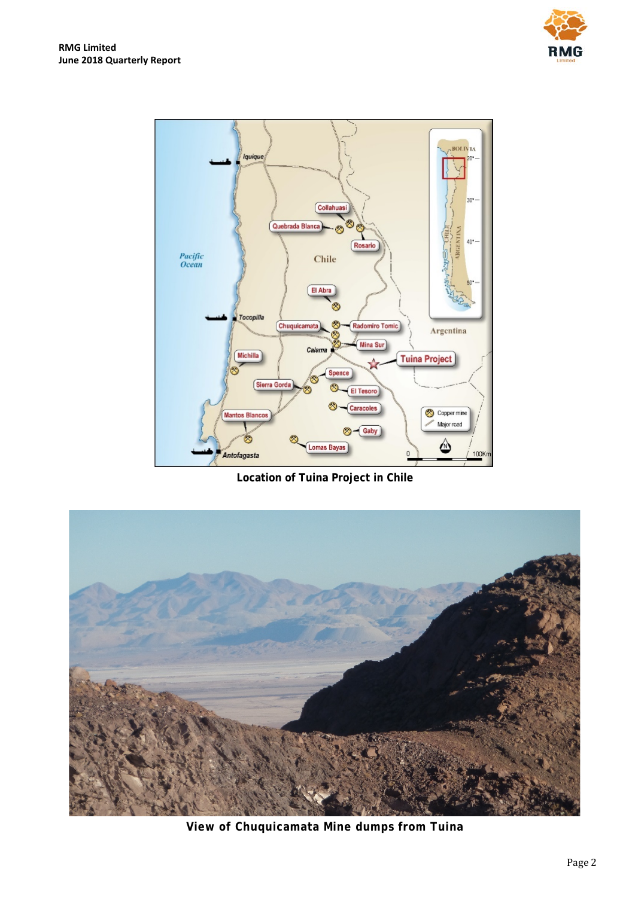



**Location of Tuina Project in Chile**



**View of Chuquicamata Mine dumps from Tuina**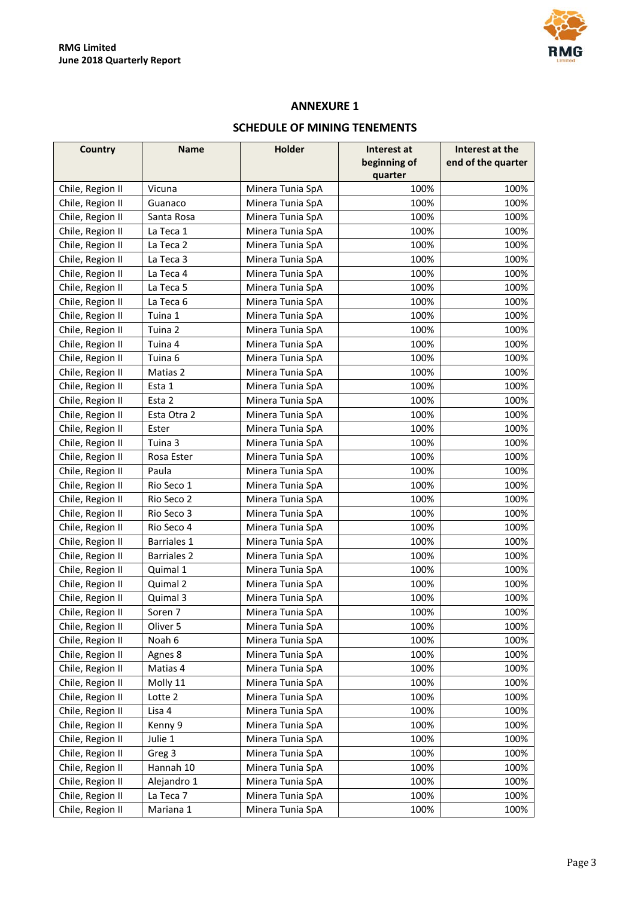

### **ANNEXURE 1**

### **SCHEDULE OF MINING TENEMENTS**

| <b>Country</b>   | <b>Name</b>        | <b>Holder</b>    | Interest at  | Interest at the    |
|------------------|--------------------|------------------|--------------|--------------------|
|                  |                    |                  | beginning of | end of the quarter |
|                  |                    |                  | quarter      |                    |
| Chile, Region II | Vicuna             | Minera Tunia SpA | 100%         | 100%               |
| Chile, Region II | Guanaco            | Minera Tunia SpA | 100%         | 100%               |
| Chile, Region II | Santa Rosa         | Minera Tunia SpA | 100%         | 100%               |
| Chile, Region II | La Teca 1          | Minera Tunia SpA | 100%         | 100%               |
| Chile, Region II | La Teca 2          | Minera Tunia SpA | 100%         | 100%               |
| Chile, Region II | La Teca 3          | Minera Tunia SpA | 100%         | 100%               |
| Chile, Region II | La Teca 4          | Minera Tunia SpA | 100%         | 100%               |
| Chile, Region II | La Teca 5          | Minera Tunia SpA | 100%         | 100%               |
| Chile, Region II | La Teca 6          | Minera Tunia SpA | 100%         | 100%               |
| Chile, Region II | Tuina 1            | Minera Tunia SpA | 100%         | 100%               |
| Chile, Region II | Tuina 2            | Minera Tunia SpA | 100%         | 100%               |
| Chile, Region II | Tuina 4            | Minera Tunia SpA | 100%         | 100%               |
| Chile, Region II | Tuina <sub>6</sub> | Minera Tunia SpA | 100%         | 100%               |
| Chile, Region II | Matias 2           | Minera Tunia SpA | 100%         | 100%               |
| Chile, Region II | Esta 1             | Minera Tunia SpA | 100%         | 100%               |
| Chile, Region II | Esta 2             | Minera Tunia SpA | 100%         | 100%               |
| Chile, Region II | Esta Otra 2        | Minera Tunia SpA | 100%         | 100%               |
| Chile, Region II | Ester              | Minera Tunia SpA | 100%         | 100%               |
| Chile, Region II | Tuina 3            | Minera Tunia SpA | 100%         | 100%               |
| Chile, Region II | Rosa Ester         | Minera Tunia SpA | 100%         | 100%               |
| Chile, Region II | Paula              | Minera Tunia SpA | 100%         | 100%               |
| Chile, Region II | Rio Seco 1         | Minera Tunia SpA | 100%         | 100%               |
| Chile, Region II | Rio Seco 2         | Minera Tunia SpA | 100%         | 100%               |
| Chile, Region II | Rio Seco 3         | Minera Tunia SpA | 100%         | 100%               |
| Chile, Region II | Rio Seco 4         | Minera Tunia SpA | 100%         | 100%               |
| Chile, Region II | <b>Barriales 1</b> | Minera Tunia SpA | 100%         | 100%               |
| Chile, Region II | <b>Barriales 2</b> | Minera Tunia SpA | 100%         | 100%               |
| Chile, Region II | Quimal 1           | Minera Tunia SpA | 100%         | 100%               |
| Chile, Region II | Quimal 2           | Minera Tunia SpA | 100%         | 100%               |
| Chile, Region II | Quimal 3           | Minera Tunia SpA | 100%         | 100%               |
| Chile, Region II | Soren 7            | Minera Tunia SpA | 100%         | 100%               |
| Chile, Region II | Oliver 5           | Minera Tunia SpA | 100%         | 100%               |
| Chile, Region II | Noah 6             | Minera Tunia SpA | 100%         | 100%               |
| Chile, Region II | Agnes 8            | Minera Tunia SpA | 100%         | 100%               |
| Chile, Region II | Matias 4           | Minera Tunia SpA | 100%         | 100%               |
| Chile, Region II | Molly 11           | Minera Tunia SpA | 100%         | 100%               |
| Chile, Region II | Lotte 2            | Minera Tunia SpA | 100%         | 100%               |
| Chile, Region II | Lisa 4             | Minera Tunia SpA | 100%         | 100%               |
| Chile, Region II | Kenny 9            | Minera Tunia SpA | 100%         | 100%               |
| Chile, Region II | Julie 1            | Minera Tunia SpA | 100%         | 100%               |
| Chile, Region II | Greg 3             | Minera Tunia SpA | 100%         | 100%               |
| Chile, Region II | Hannah 10          | Minera Tunia SpA | 100%         | 100%               |
| Chile, Region II | Alejandro 1        | Minera Tunia SpA | 100%         | 100%               |
| Chile, Region II | La Teca 7          | Minera Tunia SpA | 100%         | 100%               |
| Chile, Region II | Mariana 1          | Minera Tunia SpA | 100%         | 100%               |
|                  |                    |                  |              |                    |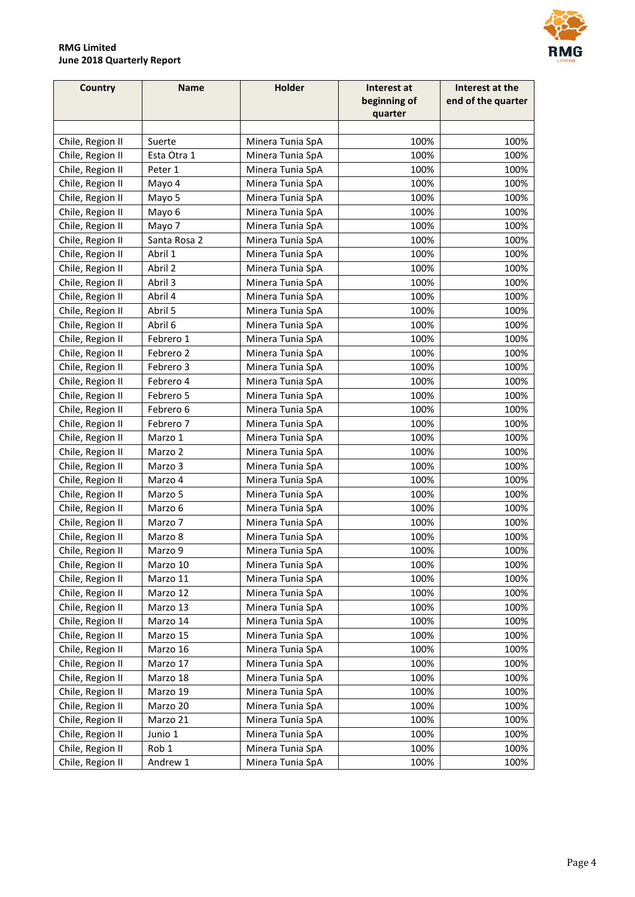

МG

### **RMG Limited June 2018 Quarterly Report**

| beginning of<br>quarter<br>Chile, Region II<br>Suerte<br>Minera Tunia SpA<br>100%<br>100%<br>Chile, Region II<br>Esta Otra 1<br>Minera Tunia SpA<br>100%<br>100%<br>Chile, Region II<br>Peter 1<br>Minera Tunia SpA<br>100%<br>100%<br>Chile, Region II<br>Minera Tunia SpA<br>100%<br>100%<br>Mayo 4<br>Chile, Region II<br>100%<br>Mayo 5<br>Minera Tunia SpA<br>100%<br>Chile, Region II<br>Mayo 6<br>Minera Tunia SpA<br>100%<br>100%<br>Chile, Region II<br>Minera Tunia SpA<br>100%<br>100%<br>Mayo 7<br>Chile, Region II<br>Santa Rosa 2<br>100%<br>100%<br>Minera Tunia SpA<br>Abril 1<br>100%<br>Chile, Region II<br>Minera Tunia SpA<br>100%<br>Chile, Region II<br>Abril 2<br>100%<br>Minera Tunia SpA<br>100%<br>Chile, Region II<br>Minera Tunia SpA<br>100%<br>Abril 3<br>100%<br>Chile, Region II<br>Abril 4<br>Minera Tunia SpA<br>100%<br>100%<br>Chile, Region II<br>Abril 5<br>Minera Tunia SpA<br>100%<br>100%<br>Abril 6<br>Chile, Region II<br>100%<br>100%<br>Minera Tunia SpA<br>100%<br>Chile, Region II<br>Febrero 1<br>Minera Tunia SpA<br>100%<br>Chile, Region II<br>Minera Tunia SpA<br>100%<br>100%<br>Febrero 2<br>Chile, Region II<br>Febrero 3<br>Minera Tunia SpA<br>100%<br>100%<br>Chile, Region II<br>Febrero 4<br>Minera Tunia SpA<br>100%<br>100%<br>Chile, Region II<br>100%<br>Febrero 5<br>Minera Tunia SpA<br>100%<br>Chile, Region II<br>Febrero 6<br>100%<br>100%<br>Minera Tunia SpA<br>100%<br>Chile, Region II<br>Febrero 7<br>Minera Tunia SpA<br>100%<br>Chile, Region II<br>Marzo 1<br>Minera Tunia SpA<br>100%<br>100%<br>100%<br>100%<br>Chile, Region II<br>Marzo 2<br>Minera Tunia SpA<br>100%<br>Chile, Region II<br>Marzo 3<br>Minera Tunia SpA<br>100%<br>Chile, Region II<br>Minera Tunia SpA<br>100%<br>100%<br>Marzo 4<br>Chile, Region II<br>Marzo 5<br>Minera Tunia SpA<br>100%<br>100%<br>Chile, Region II<br>Marzo 6<br>Minera Tunia SpA<br>100%<br>100%<br>Chile, Region II<br>Marzo 7<br>Minera Tunia SpA<br>100%<br>100%<br>Chile, Region II<br>100%<br>Marzo 8<br>Minera Tunia SpA<br>100% | <b>Country</b> | <b>Name</b> | Holder | Interest at | Interest at the    |
|------------------------------------------------------------------------------------------------------------------------------------------------------------------------------------------------------------------------------------------------------------------------------------------------------------------------------------------------------------------------------------------------------------------------------------------------------------------------------------------------------------------------------------------------------------------------------------------------------------------------------------------------------------------------------------------------------------------------------------------------------------------------------------------------------------------------------------------------------------------------------------------------------------------------------------------------------------------------------------------------------------------------------------------------------------------------------------------------------------------------------------------------------------------------------------------------------------------------------------------------------------------------------------------------------------------------------------------------------------------------------------------------------------------------------------------------------------------------------------------------------------------------------------------------------------------------------------------------------------------------------------------------------------------------------------------------------------------------------------------------------------------------------------------------------------------------------------------------------------------------------------------------------------------------------------------------------------------------------------------------------------------------------------------------------------------|----------------|-------------|--------|-------------|--------------------|
|                                                                                                                                                                                                                                                                                                                                                                                                                                                                                                                                                                                                                                                                                                                                                                                                                                                                                                                                                                                                                                                                                                                                                                                                                                                                                                                                                                                                                                                                                                                                                                                                                                                                                                                                                                                                                                                                                                                                                                                                                                                                  |                |             |        |             | end of the quarter |
|                                                                                                                                                                                                                                                                                                                                                                                                                                                                                                                                                                                                                                                                                                                                                                                                                                                                                                                                                                                                                                                                                                                                                                                                                                                                                                                                                                                                                                                                                                                                                                                                                                                                                                                                                                                                                                                                                                                                                                                                                                                                  |                |             |        |             |                    |
|                                                                                                                                                                                                                                                                                                                                                                                                                                                                                                                                                                                                                                                                                                                                                                                                                                                                                                                                                                                                                                                                                                                                                                                                                                                                                                                                                                                                                                                                                                                                                                                                                                                                                                                                                                                                                                                                                                                                                                                                                                                                  |                |             |        |             |                    |
|                                                                                                                                                                                                                                                                                                                                                                                                                                                                                                                                                                                                                                                                                                                                                                                                                                                                                                                                                                                                                                                                                                                                                                                                                                                                                                                                                                                                                                                                                                                                                                                                                                                                                                                                                                                                                                                                                                                                                                                                                                                                  |                |             |        |             |                    |
|                                                                                                                                                                                                                                                                                                                                                                                                                                                                                                                                                                                                                                                                                                                                                                                                                                                                                                                                                                                                                                                                                                                                                                                                                                                                                                                                                                                                                                                                                                                                                                                                                                                                                                                                                                                                                                                                                                                                                                                                                                                                  |                |             |        |             |                    |
|                                                                                                                                                                                                                                                                                                                                                                                                                                                                                                                                                                                                                                                                                                                                                                                                                                                                                                                                                                                                                                                                                                                                                                                                                                                                                                                                                                                                                                                                                                                                                                                                                                                                                                                                                                                                                                                                                                                                                                                                                                                                  |                |             |        |             |                    |
|                                                                                                                                                                                                                                                                                                                                                                                                                                                                                                                                                                                                                                                                                                                                                                                                                                                                                                                                                                                                                                                                                                                                                                                                                                                                                                                                                                                                                                                                                                                                                                                                                                                                                                                                                                                                                                                                                                                                                                                                                                                                  |                |             |        |             |                    |
|                                                                                                                                                                                                                                                                                                                                                                                                                                                                                                                                                                                                                                                                                                                                                                                                                                                                                                                                                                                                                                                                                                                                                                                                                                                                                                                                                                                                                                                                                                                                                                                                                                                                                                                                                                                                                                                                                                                                                                                                                                                                  |                |             |        |             |                    |
|                                                                                                                                                                                                                                                                                                                                                                                                                                                                                                                                                                                                                                                                                                                                                                                                                                                                                                                                                                                                                                                                                                                                                                                                                                                                                                                                                                                                                                                                                                                                                                                                                                                                                                                                                                                                                                                                                                                                                                                                                                                                  |                |             |        |             |                    |
|                                                                                                                                                                                                                                                                                                                                                                                                                                                                                                                                                                                                                                                                                                                                                                                                                                                                                                                                                                                                                                                                                                                                                                                                                                                                                                                                                                                                                                                                                                                                                                                                                                                                                                                                                                                                                                                                                                                                                                                                                                                                  |                |             |        |             |                    |
|                                                                                                                                                                                                                                                                                                                                                                                                                                                                                                                                                                                                                                                                                                                                                                                                                                                                                                                                                                                                                                                                                                                                                                                                                                                                                                                                                                                                                                                                                                                                                                                                                                                                                                                                                                                                                                                                                                                                                                                                                                                                  |                |             |        |             |                    |
|                                                                                                                                                                                                                                                                                                                                                                                                                                                                                                                                                                                                                                                                                                                                                                                                                                                                                                                                                                                                                                                                                                                                                                                                                                                                                                                                                                                                                                                                                                                                                                                                                                                                                                                                                                                                                                                                                                                                                                                                                                                                  |                |             |        |             |                    |
|                                                                                                                                                                                                                                                                                                                                                                                                                                                                                                                                                                                                                                                                                                                                                                                                                                                                                                                                                                                                                                                                                                                                                                                                                                                                                                                                                                                                                                                                                                                                                                                                                                                                                                                                                                                                                                                                                                                                                                                                                                                                  |                |             |        |             |                    |
|                                                                                                                                                                                                                                                                                                                                                                                                                                                                                                                                                                                                                                                                                                                                                                                                                                                                                                                                                                                                                                                                                                                                                                                                                                                                                                                                                                                                                                                                                                                                                                                                                                                                                                                                                                                                                                                                                                                                                                                                                                                                  |                |             |        |             |                    |
|                                                                                                                                                                                                                                                                                                                                                                                                                                                                                                                                                                                                                                                                                                                                                                                                                                                                                                                                                                                                                                                                                                                                                                                                                                                                                                                                                                                                                                                                                                                                                                                                                                                                                                                                                                                                                                                                                                                                                                                                                                                                  |                |             |        |             |                    |
|                                                                                                                                                                                                                                                                                                                                                                                                                                                                                                                                                                                                                                                                                                                                                                                                                                                                                                                                                                                                                                                                                                                                                                                                                                                                                                                                                                                                                                                                                                                                                                                                                                                                                                                                                                                                                                                                                                                                                                                                                                                                  |                |             |        |             |                    |
|                                                                                                                                                                                                                                                                                                                                                                                                                                                                                                                                                                                                                                                                                                                                                                                                                                                                                                                                                                                                                                                                                                                                                                                                                                                                                                                                                                                                                                                                                                                                                                                                                                                                                                                                                                                                                                                                                                                                                                                                                                                                  |                |             |        |             |                    |
|                                                                                                                                                                                                                                                                                                                                                                                                                                                                                                                                                                                                                                                                                                                                                                                                                                                                                                                                                                                                                                                                                                                                                                                                                                                                                                                                                                                                                                                                                                                                                                                                                                                                                                                                                                                                                                                                                                                                                                                                                                                                  |                |             |        |             |                    |
|                                                                                                                                                                                                                                                                                                                                                                                                                                                                                                                                                                                                                                                                                                                                                                                                                                                                                                                                                                                                                                                                                                                                                                                                                                                                                                                                                                                                                                                                                                                                                                                                                                                                                                                                                                                                                                                                                                                                                                                                                                                                  |                |             |        |             |                    |
|                                                                                                                                                                                                                                                                                                                                                                                                                                                                                                                                                                                                                                                                                                                                                                                                                                                                                                                                                                                                                                                                                                                                                                                                                                                                                                                                                                                                                                                                                                                                                                                                                                                                                                                                                                                                                                                                                                                                                                                                                                                                  |                |             |        |             |                    |
|                                                                                                                                                                                                                                                                                                                                                                                                                                                                                                                                                                                                                                                                                                                                                                                                                                                                                                                                                                                                                                                                                                                                                                                                                                                                                                                                                                                                                                                                                                                                                                                                                                                                                                                                                                                                                                                                                                                                                                                                                                                                  |                |             |        |             |                    |
|                                                                                                                                                                                                                                                                                                                                                                                                                                                                                                                                                                                                                                                                                                                                                                                                                                                                                                                                                                                                                                                                                                                                                                                                                                                                                                                                                                                                                                                                                                                                                                                                                                                                                                                                                                                                                                                                                                                                                                                                                                                                  |                |             |        |             |                    |
|                                                                                                                                                                                                                                                                                                                                                                                                                                                                                                                                                                                                                                                                                                                                                                                                                                                                                                                                                                                                                                                                                                                                                                                                                                                                                                                                                                                                                                                                                                                                                                                                                                                                                                                                                                                                                                                                                                                                                                                                                                                                  |                |             |        |             |                    |
|                                                                                                                                                                                                                                                                                                                                                                                                                                                                                                                                                                                                                                                                                                                                                                                                                                                                                                                                                                                                                                                                                                                                                                                                                                                                                                                                                                                                                                                                                                                                                                                                                                                                                                                                                                                                                                                                                                                                                                                                                                                                  |                |             |        |             |                    |
|                                                                                                                                                                                                                                                                                                                                                                                                                                                                                                                                                                                                                                                                                                                                                                                                                                                                                                                                                                                                                                                                                                                                                                                                                                                                                                                                                                                                                                                                                                                                                                                                                                                                                                                                                                                                                                                                                                                                                                                                                                                                  |                |             |        |             |                    |
|                                                                                                                                                                                                                                                                                                                                                                                                                                                                                                                                                                                                                                                                                                                                                                                                                                                                                                                                                                                                                                                                                                                                                                                                                                                                                                                                                                                                                                                                                                                                                                                                                                                                                                                                                                                                                                                                                                                                                                                                                                                                  |                |             |        |             |                    |
|                                                                                                                                                                                                                                                                                                                                                                                                                                                                                                                                                                                                                                                                                                                                                                                                                                                                                                                                                                                                                                                                                                                                                                                                                                                                                                                                                                                                                                                                                                                                                                                                                                                                                                                                                                                                                                                                                                                                                                                                                                                                  |                |             |        |             |                    |
|                                                                                                                                                                                                                                                                                                                                                                                                                                                                                                                                                                                                                                                                                                                                                                                                                                                                                                                                                                                                                                                                                                                                                                                                                                                                                                                                                                                                                                                                                                                                                                                                                                                                                                                                                                                                                                                                                                                                                                                                                                                                  |                |             |        |             |                    |
|                                                                                                                                                                                                                                                                                                                                                                                                                                                                                                                                                                                                                                                                                                                                                                                                                                                                                                                                                                                                                                                                                                                                                                                                                                                                                                                                                                                                                                                                                                                                                                                                                                                                                                                                                                                                                                                                                                                                                                                                                                                                  |                |             |        |             |                    |
|                                                                                                                                                                                                                                                                                                                                                                                                                                                                                                                                                                                                                                                                                                                                                                                                                                                                                                                                                                                                                                                                                                                                                                                                                                                                                                                                                                                                                                                                                                                                                                                                                                                                                                                                                                                                                                                                                                                                                                                                                                                                  |                |             |        |             |                    |
|                                                                                                                                                                                                                                                                                                                                                                                                                                                                                                                                                                                                                                                                                                                                                                                                                                                                                                                                                                                                                                                                                                                                                                                                                                                                                                                                                                                                                                                                                                                                                                                                                                                                                                                                                                                                                                                                                                                                                                                                                                                                  |                |             |        |             |                    |
|                                                                                                                                                                                                                                                                                                                                                                                                                                                                                                                                                                                                                                                                                                                                                                                                                                                                                                                                                                                                                                                                                                                                                                                                                                                                                                                                                                                                                                                                                                                                                                                                                                                                                                                                                                                                                                                                                                                                                                                                                                                                  |                |             |        |             |                    |
| Chile, Region II<br>Marzo 9<br>Minera Tunia SpA<br>100%<br>100%                                                                                                                                                                                                                                                                                                                                                                                                                                                                                                                                                                                                                                                                                                                                                                                                                                                                                                                                                                                                                                                                                                                                                                                                                                                                                                                                                                                                                                                                                                                                                                                                                                                                                                                                                                                                                                                                                                                                                                                                  |                |             |        |             |                    |
| Chile, Region II<br>Marzo 10<br>Minera Tunia SpA<br>100%<br>100%                                                                                                                                                                                                                                                                                                                                                                                                                                                                                                                                                                                                                                                                                                                                                                                                                                                                                                                                                                                                                                                                                                                                                                                                                                                                                                                                                                                                                                                                                                                                                                                                                                                                                                                                                                                                                                                                                                                                                                                                 |                |             |        |             |                    |
| Chile, Region II<br>Marzo 11<br>100%<br>100%<br>Minera Tunia SpA                                                                                                                                                                                                                                                                                                                                                                                                                                                                                                                                                                                                                                                                                                                                                                                                                                                                                                                                                                                                                                                                                                                                                                                                                                                                                                                                                                                                                                                                                                                                                                                                                                                                                                                                                                                                                                                                                                                                                                                                 |                |             |        |             |                    |
| 100%<br>Chile, Region II<br>Marzo 12<br>Minera Tunia SpA<br>100%                                                                                                                                                                                                                                                                                                                                                                                                                                                                                                                                                                                                                                                                                                                                                                                                                                                                                                                                                                                                                                                                                                                                                                                                                                                                                                                                                                                                                                                                                                                                                                                                                                                                                                                                                                                                                                                                                                                                                                                                 |                |             |        |             |                    |
| Marzo 13<br>Chile, Region II<br>Minera Tunia SpA<br>100%<br>100%                                                                                                                                                                                                                                                                                                                                                                                                                                                                                                                                                                                                                                                                                                                                                                                                                                                                                                                                                                                                                                                                                                                                                                                                                                                                                                                                                                                                                                                                                                                                                                                                                                                                                                                                                                                                                                                                                                                                                                                                 |                |             |        |             |                    |
| Chile, Region II<br>Marzo 14<br>Minera Tunia SpA<br>100%<br>100%                                                                                                                                                                                                                                                                                                                                                                                                                                                                                                                                                                                                                                                                                                                                                                                                                                                                                                                                                                                                                                                                                                                                                                                                                                                                                                                                                                                                                                                                                                                                                                                                                                                                                                                                                                                                                                                                                                                                                                                                 |                |             |        |             |                    |
| Chile, Region II<br>Marzo 15<br>Minera Tunia SpA<br>100%<br>100%                                                                                                                                                                                                                                                                                                                                                                                                                                                                                                                                                                                                                                                                                                                                                                                                                                                                                                                                                                                                                                                                                                                                                                                                                                                                                                                                                                                                                                                                                                                                                                                                                                                                                                                                                                                                                                                                                                                                                                                                 |                |             |        |             |                    |
| Chile, Region II<br>Marzo 16<br>Minera Tunia SpA<br>100%<br>100%                                                                                                                                                                                                                                                                                                                                                                                                                                                                                                                                                                                                                                                                                                                                                                                                                                                                                                                                                                                                                                                                                                                                                                                                                                                                                                                                                                                                                                                                                                                                                                                                                                                                                                                                                                                                                                                                                                                                                                                                 |                |             |        |             |                    |
| Chile, Region II<br>Marzo 17<br>100%<br>100%<br>Minera Tunia SpA                                                                                                                                                                                                                                                                                                                                                                                                                                                                                                                                                                                                                                                                                                                                                                                                                                                                                                                                                                                                                                                                                                                                                                                                                                                                                                                                                                                                                                                                                                                                                                                                                                                                                                                                                                                                                                                                                                                                                                                                 |                |             |        |             |                    |
| Chile, Region II<br>Marzo 18<br>Minera Tunia SpA<br>100%<br>100%                                                                                                                                                                                                                                                                                                                                                                                                                                                                                                                                                                                                                                                                                                                                                                                                                                                                                                                                                                                                                                                                                                                                                                                                                                                                                                                                                                                                                                                                                                                                                                                                                                                                                                                                                                                                                                                                                                                                                                                                 |                |             |        |             |                    |
| Chile, Region II<br>Marzo 19<br>Minera Tunia SpA<br>100%<br>100%                                                                                                                                                                                                                                                                                                                                                                                                                                                                                                                                                                                                                                                                                                                                                                                                                                                                                                                                                                                                                                                                                                                                                                                                                                                                                                                                                                                                                                                                                                                                                                                                                                                                                                                                                                                                                                                                                                                                                                                                 |                |             |        |             |                    |
| Chile, Region II<br>Marzo 20<br>Minera Tunia SpA<br>100%<br>100%                                                                                                                                                                                                                                                                                                                                                                                                                                                                                                                                                                                                                                                                                                                                                                                                                                                                                                                                                                                                                                                                                                                                                                                                                                                                                                                                                                                                                                                                                                                                                                                                                                                                                                                                                                                                                                                                                                                                                                                                 |                |             |        |             |                    |
| Chile, Region II<br>Marzo 21<br>Minera Tunia SpA<br>100%<br>100%                                                                                                                                                                                                                                                                                                                                                                                                                                                                                                                                                                                                                                                                                                                                                                                                                                                                                                                                                                                                                                                                                                                                                                                                                                                                                                                                                                                                                                                                                                                                                                                                                                                                                                                                                                                                                                                                                                                                                                                                 |                |             |        |             |                    |
| Chile, Region II<br>Junio 1<br>Minera Tunia SpA<br>100%<br>100%                                                                                                                                                                                                                                                                                                                                                                                                                                                                                                                                                                                                                                                                                                                                                                                                                                                                                                                                                                                                                                                                                                                                                                                                                                                                                                                                                                                                                                                                                                                                                                                                                                                                                                                                                                                                                                                                                                                                                                                                  |                |             |        |             |                    |
| Chile, Region II<br>Rob 1<br>100%<br>100%<br>Minera Tunia SpA                                                                                                                                                                                                                                                                                                                                                                                                                                                                                                                                                                                                                                                                                                                                                                                                                                                                                                                                                                                                                                                                                                                                                                                                                                                                                                                                                                                                                                                                                                                                                                                                                                                                                                                                                                                                                                                                                                                                                                                                    |                |             |        |             |                    |
| Chile, Region II<br>Minera Tunia SpA<br>100%<br>100%<br>Andrew 1                                                                                                                                                                                                                                                                                                                                                                                                                                                                                                                                                                                                                                                                                                                                                                                                                                                                                                                                                                                                                                                                                                                                                                                                                                                                                                                                                                                                                                                                                                                                                                                                                                                                                                                                                                                                                                                                                                                                                                                                 |                |             |        |             |                    |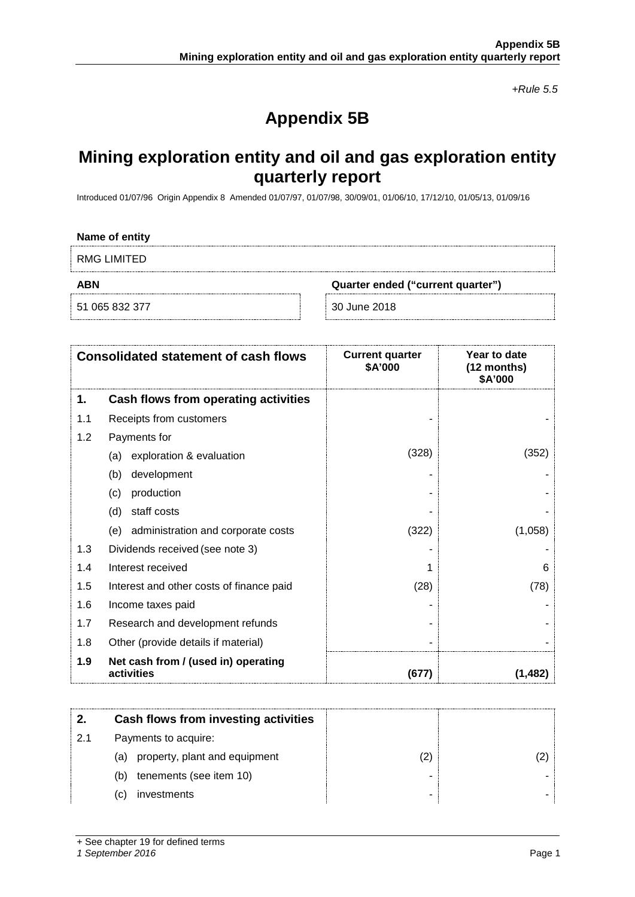*+Rule 5.5*

## **Appendix 5B**

### **Mining exploration entity and oil and gas exploration entity quarterly report**

Introduced 01/07/96 Origin Appendix 8 Amended 01/07/97, 01/07/98, 30/09/01, 01/06/10, 17/12/10, 01/05/13, 01/09/16

### **Name of entity**

RMG LIMITED

51 065 832 377 30 June 2018

**ABN Quarter ended ("current quarter")**

|     | <b>Consolidated statement of cash flows</b>       | <b>Current quarter</b><br>\$A'000 | Year to date<br>(12 months)<br>\$A'000 |
|-----|---------------------------------------------------|-----------------------------------|----------------------------------------|
| 1.  | Cash flows from operating activities              |                                   |                                        |
| 1.1 | Receipts from customers                           |                                   |                                        |
| 1.2 | Payments for                                      |                                   |                                        |
|     | exploration & evaluation<br>(a)                   | (328)                             | (352)                                  |
|     | development<br>(b)                                |                                   |                                        |
|     | production<br>(c)                                 |                                   |                                        |
|     | staff costs<br>(d)                                |                                   |                                        |
|     | (e) administration and corporate costs            | (322)                             | (1,058)                                |
| 1.3 | Dividends received (see note 3)                   |                                   |                                        |
| 1.4 | Interest received                                 |                                   | 6                                      |
| 1.5 | Interest and other costs of finance paid          | (28)                              | (78)                                   |
| 1.6 | Income taxes paid                                 |                                   |                                        |
| 1.7 | Research and development refunds                  |                                   |                                        |
| 1.8 | Other (provide details if material)               |                                   |                                        |
| 1.9 | Net cash from / (used in) operating<br>activities | (677)                             | (1, 482)                               |

|    | Cash flows from investing activities |   |  |
|----|--------------------------------------|---|--|
| 21 | Payments to acquire:                 |   |  |
|    | property, plant and equipment<br>(a) |   |  |
|    | tenements (see item 10)<br>(b)       |   |  |
|    | investments<br>(C)                   | - |  |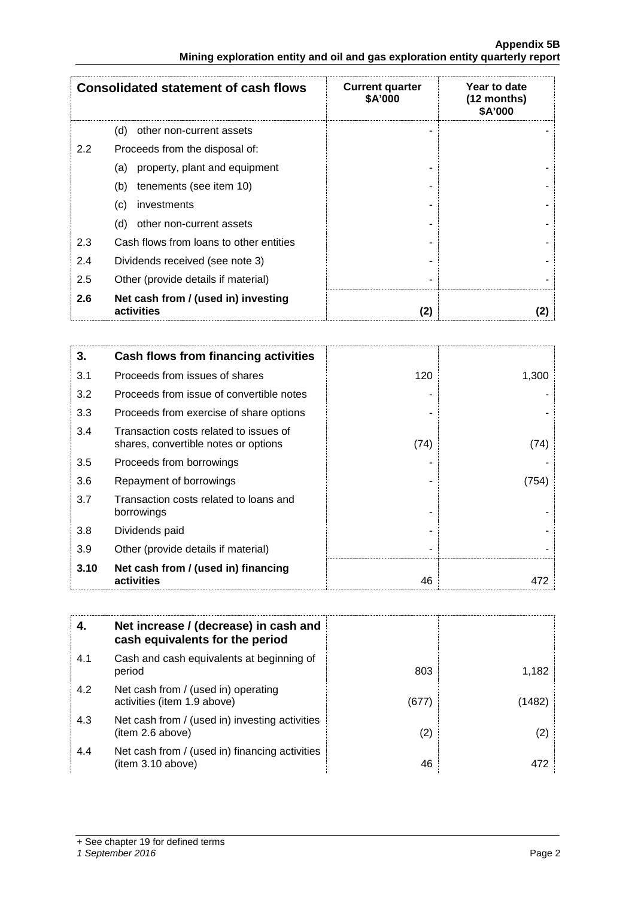### **Appendix 5B Mining exploration entity and oil and gas exploration entity quarterly report**

|     | <b>Consolidated statement of cash flows</b>       | <b>Current quarter</b><br><b>\$A'000</b> | Year to date<br>(12 months)<br><b>\$A'000</b> |
|-----|---------------------------------------------------|------------------------------------------|-----------------------------------------------|
|     | (d)<br>other non-current assets                   |                                          |                                               |
| 2.2 | Proceeds from the disposal of:                    |                                          |                                               |
|     | property, plant and equipment<br>(a)              |                                          |                                               |
|     | tenements (see item 10)<br>(b)                    |                                          |                                               |
|     | investments<br>(c)                                |                                          |                                               |
|     | other non-current assets<br>(d)                   |                                          |                                               |
| 2.3 | Cash flows from loans to other entities           |                                          |                                               |
| 2.4 | Dividends received (see note 3)                   |                                          |                                               |
| 2.5 | Other (provide details if material)               |                                          |                                               |
| 2.6 | Net cash from / (used in) investing<br>activities | 2                                        |                                               |

| 3.   | Cash flows from financing activities                                           |      |       |
|------|--------------------------------------------------------------------------------|------|-------|
| 3.1  | Proceeds from issues of shares                                                 | 120  | 1,300 |
| 3.2  | Proceeds from issue of convertible notes                                       |      |       |
| 3.3  | Proceeds from exercise of share options                                        |      |       |
| 3.4  | Transaction costs related to issues of<br>shares, convertible notes or options | (74) | (74)  |
| 3.5  | Proceeds from borrowings                                                       |      |       |
| 3.6  | Repayment of borrowings                                                        |      | (754) |
| 3.7  | Transaction costs related to loans and<br>borrowings                           |      |       |
| 3.8  | Dividends paid                                                                 |      |       |
| 3.9  | Other (provide details if material)                                            |      |       |
| 3.10 | Net cash from / (used in) financing<br>activities                              | 46   |       |

| 4.  | Net increase / (decrease) in cash and<br>cash equivalents for the period |       |        |
|-----|--------------------------------------------------------------------------|-------|--------|
| 4.1 | Cash and cash equivalents at beginning of<br>period                      | 803   | 1.182  |
| 4.2 | Net cash from / (used in) operating<br>activities (item 1.9 above)       | (677) | (1482) |
| 4.3 | Net cash from / (used in) investing activities<br>(item 2.6 above)       | (2)   | (2)    |
| 4.4 | Net cash from / (used in) financing activities<br>(item 3.10 above)      | 46    | 472    |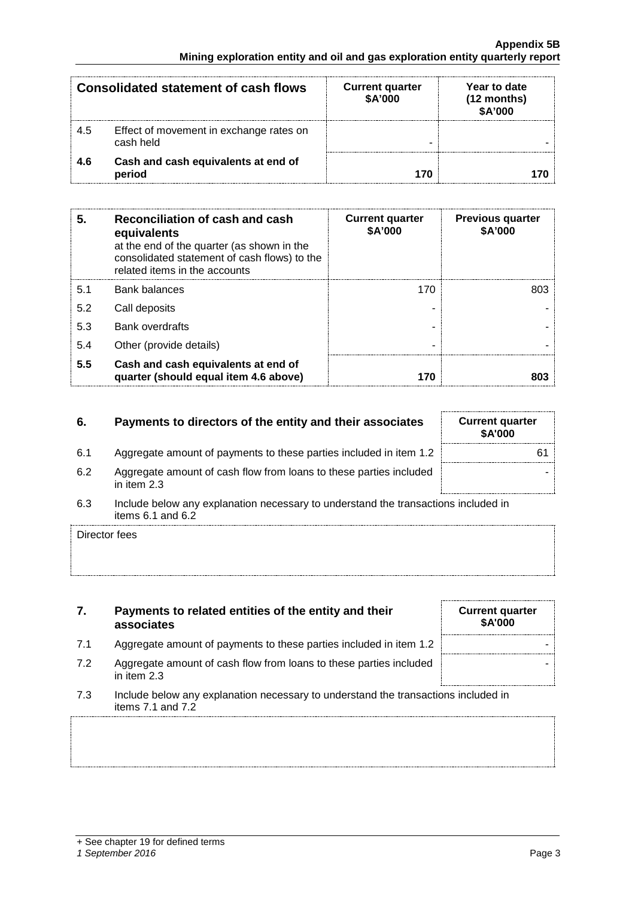|     | Consolidated statement of cash flows                 | <b>Current quarter</b><br>\$A'000 | Year to date<br>$(12$ months)<br>\$A'000 |
|-----|------------------------------------------------------|-----------------------------------|------------------------------------------|
| 4.5 | Effect of movement in exchange rates on<br>cash held |                                   |                                          |
| 4.6 | Cash and cash equivalents at end of<br>period        |                                   |                                          |

| 5.  | Reconciliation of cash and cash<br>equivalents<br>at the end of the quarter (as shown in the<br>consolidated statement of cash flows) to the<br>related items in the accounts | <b>Current quarter</b><br>\$A'000 | <b>Previous quarter</b><br>\$A'000 |
|-----|-------------------------------------------------------------------------------------------------------------------------------------------------------------------------------|-----------------------------------|------------------------------------|
| 5.1 | <b>Bank balances</b>                                                                                                                                                          | 170                               | רחת                                |
| 5.2 | Call deposits                                                                                                                                                                 |                                   |                                    |
| 5.3 | <b>Bank overdrafts</b>                                                                                                                                                        |                                   |                                    |
| 5.4 | Other (provide details)                                                                                                                                                       |                                   |                                    |
| 5.5 | Cash and cash equivalents at end of<br>quarter (should equal item 4.6 above)                                                                                                  |                                   |                                    |

### **6.** Payments to directors of the entity and their associates

- 6.1 Aggregate amount of payments to these parties included in item 1.2
- 6.2 Aggregate amount of cash flow from loans to these parties included in item 2.3
- 6.3 Include below any explanation necessary to understand the transactions included in items 6.1 and 6.2

Director fees

- **7. Payments to related entities of the entity and their associates**
- 7.1 Aggregate amount of payments to these parties included in item 1.2
- 7.2 Aggregate amount of cash flow from loans to these parties included in item 2.3
- 7.3 Include below any explanation necessary to understand the transactions included in items 7.1 and 7.2

| <b>Current quarter</b><br>\$A'000 |  |
|-----------------------------------|--|
|                                   |  |
|                                   |  |

| <b>Current quarter</b><br>\$A'000 |    |  |
|-----------------------------------|----|--|
|                                   | 61 |  |
|                                   |    |  |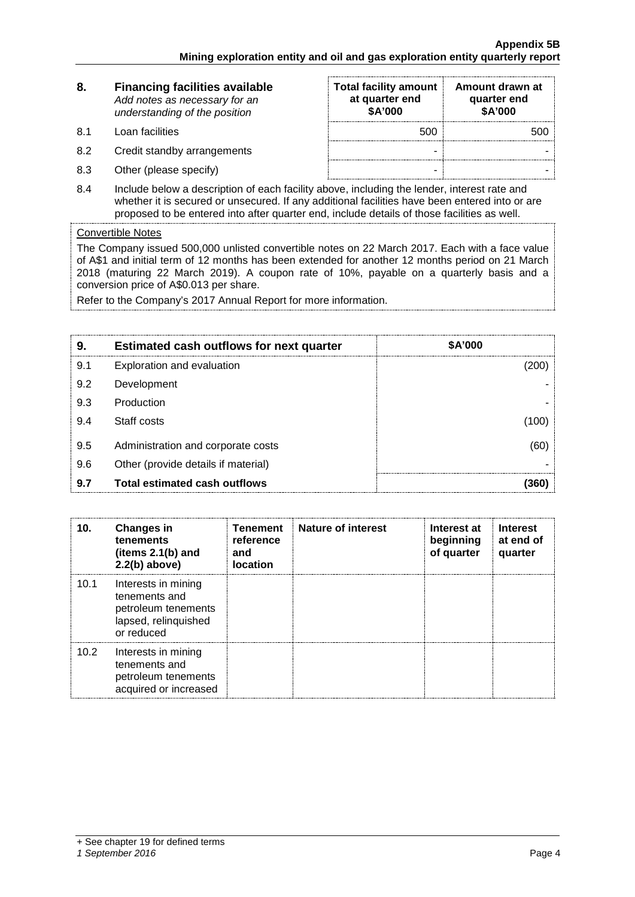| 8. | <b>Financing facilities available</b> |
|----|---------------------------------------|
|    | Add notes as necessary for an         |
|    | understanding of the position         |

- 8.1 Loan facilities
- 8.2 Credit standby arrangements
- 8.3 Other (please specify)

| <b>Total facility amount</b><br>at quarter end<br>\$A'000 | Amount drawn at<br>quarter end<br>\$A'000 |
|-----------------------------------------------------------|-------------------------------------------|
| 500                                                       | 500                                       |
|                                                           |                                           |
|                                                           |                                           |

8.4 Include below a description of each facility above, including the lender, interest rate and whether it is secured or unsecured. If any additional facilities have been entered into or are proposed to be entered into after quarter end, include details of those facilities as well.

### Convertible Notes

The Company issued 500,000 unlisted convertible notes on 22 March 2017. Each with a face value of A\$1 and initial term of 12 months has been extended for another 12 months period on 21 March 2018 (maturing 22 March 2019). A coupon rate of 10%, payable on a quarterly basis and a conversion price of A\$0.013 per share.

Refer to the Company's 2017 Annual Report for more information.

| 9   | <b>Estimated cash outflows for next quarter</b> | <b>\$A'000</b> |
|-----|-------------------------------------------------|----------------|
| 9.1 | Exploration and evaluation                      | 200)           |
| 9.2 | Development                                     |                |
| 9.3 | Production                                      |                |
| 9.4 | Staff costs                                     | 1001           |
| 9.5 | Administration and corporate costs              | (60)           |
| 9.6 | Other (provide details if material)             |                |
| 9.7 | <b>Total estimated cash outflows</b>            |                |

| 10.  | <b>Changes in</b><br>tenements<br>(items $2.1(b)$ and<br>$2.2(b)$ above)                          | <b>Tenement</b><br>reference<br>and<br><b>location</b> | <b>Nature of interest</b> | Interest at<br>beginning<br>of quarter | <b>Interest</b><br>at end of<br>quarter |
|------|---------------------------------------------------------------------------------------------------|--------------------------------------------------------|---------------------------|----------------------------------------|-----------------------------------------|
| 10.1 | Interests in mining<br>tenements and<br>petroleum tenements<br>lapsed, relinquished<br>or reduced |                                                        |                           |                                        |                                         |
| 10.2 | Interests in mining<br>tenements and<br>petroleum tenements<br>acquired or increased              |                                                        |                           |                                        |                                         |